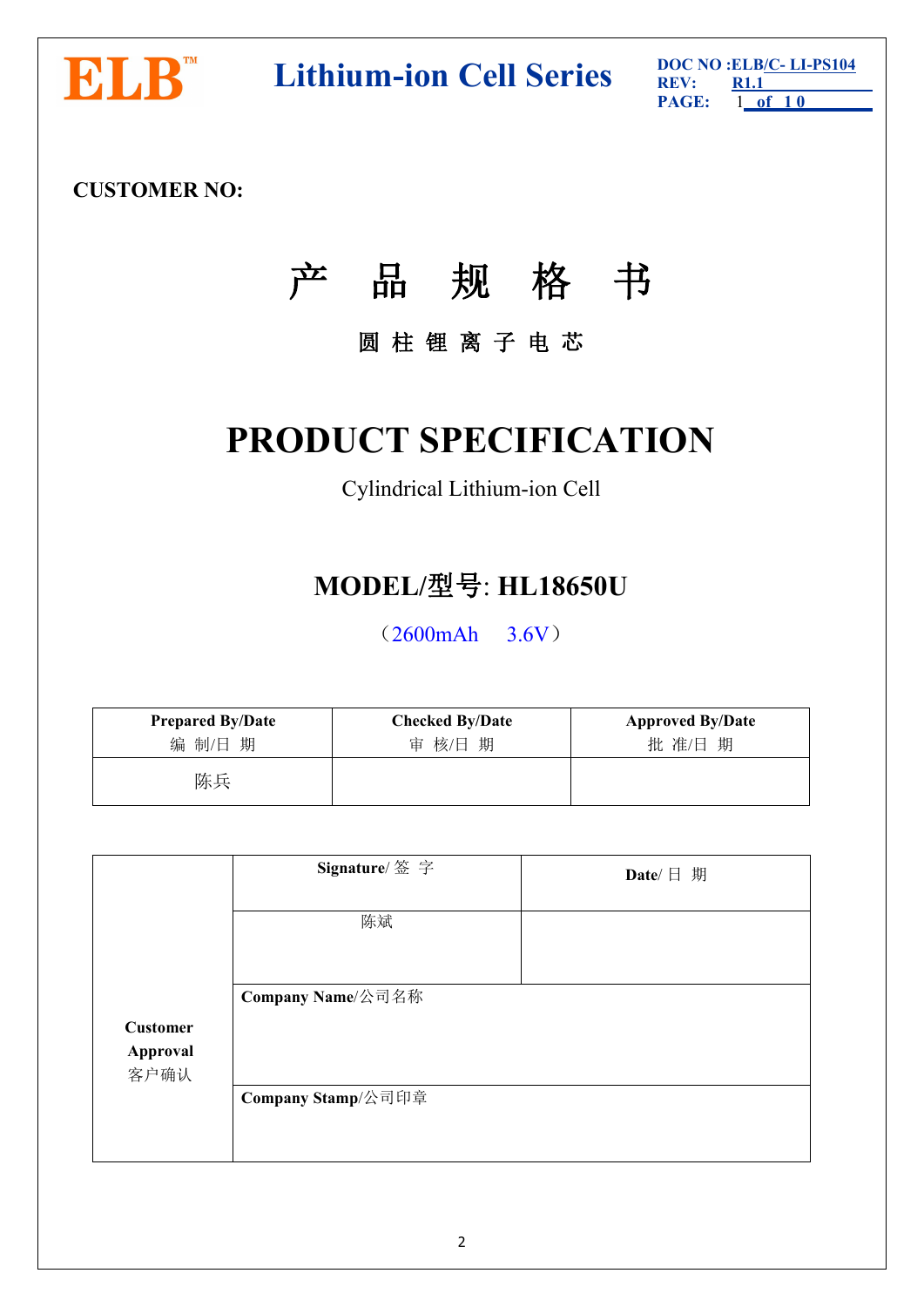

**DOC NO NO NO NO NO ELB/C-LI-PS104 REV: REV: REV: RELI-PS104** 

**PAGE: R1.1** 1 **of 1 0**

# **CUSTOMER NO:**

# 产 品 规 格 书

# 圆 柱 锂 离 子 电 芯

# **PRODUCT SPECIFICATION**

# Cylindrical Lithium-ion Cell

# **MODEL/**型号: **HL18650U**

(2600mAh 3.6V)

| <b>Prepared By/Date</b> | <b>Checked By/Date</b> | <b>Approved By/Date</b> |
|-------------------------|------------------------|-------------------------|
| 编 制/日 期                 | 审 核/日 期                | 批准/日期                   |
| 陈兵                      |                        |                         |

|                  | Signature/ 签字      | Date/ $\Box$ 期 |
|------------------|--------------------|----------------|
|                  | 陈斌                 |                |
|                  | Company Name/公司名称  |                |
| <b>Customer</b>  |                    |                |
| Approval<br>客户确认 |                    |                |
|                  | Company Stamp/公司印章 |                |
|                  |                    |                |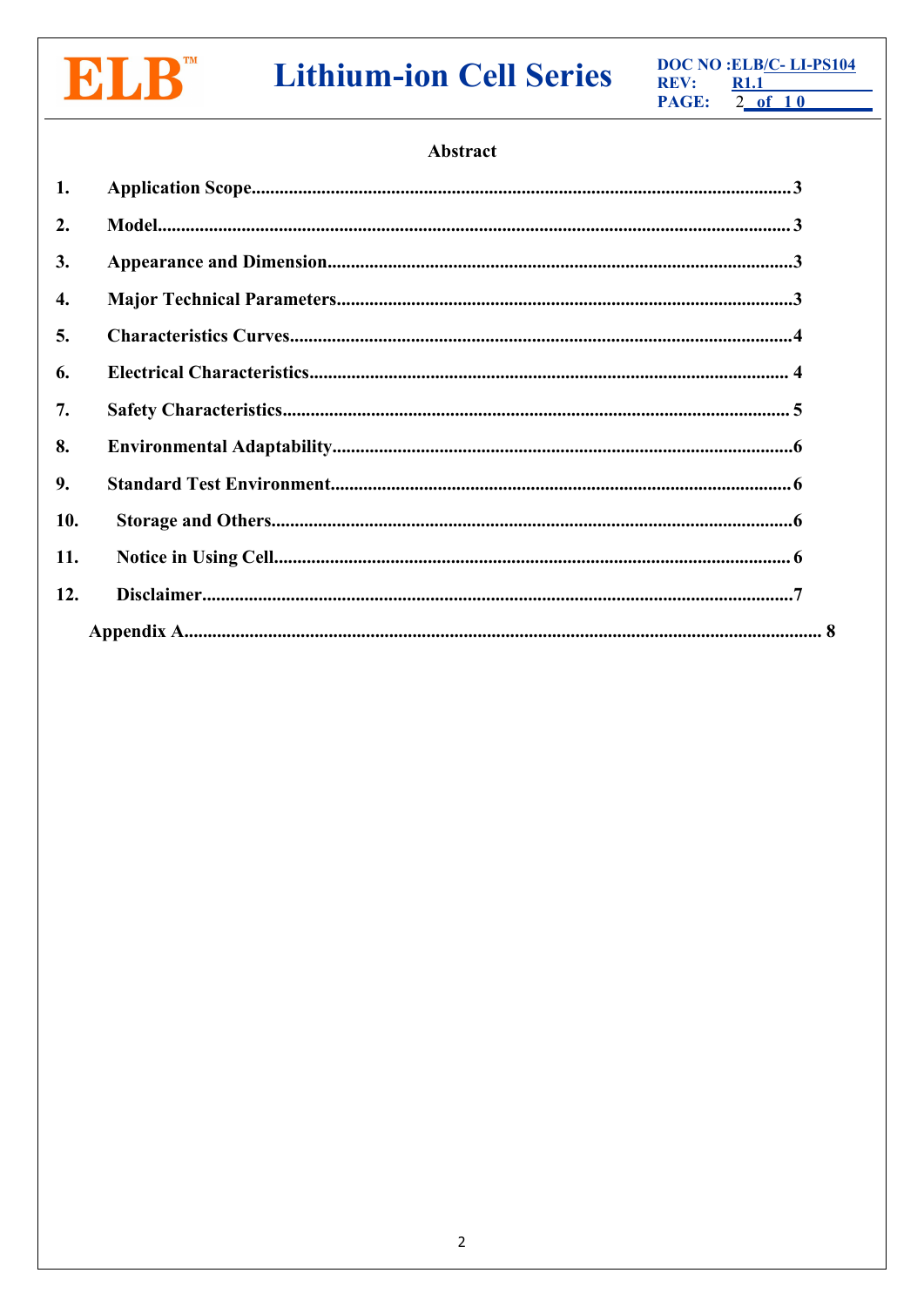

# **Lithium-ion Cell Series**

DOC NO : ELB/C-LI-PS104 REV:  $R1.1$ PAGE:  $2$  of 10

# Abstract

| 1.               |  |
|------------------|--|
| 2.               |  |
| 3.               |  |
| 4.               |  |
| $\overline{5}$ . |  |
| 6.               |  |
| 7.               |  |
| 8.               |  |
| 9.               |  |
| 10.              |  |
| 11.              |  |
| 12.              |  |
|                  |  |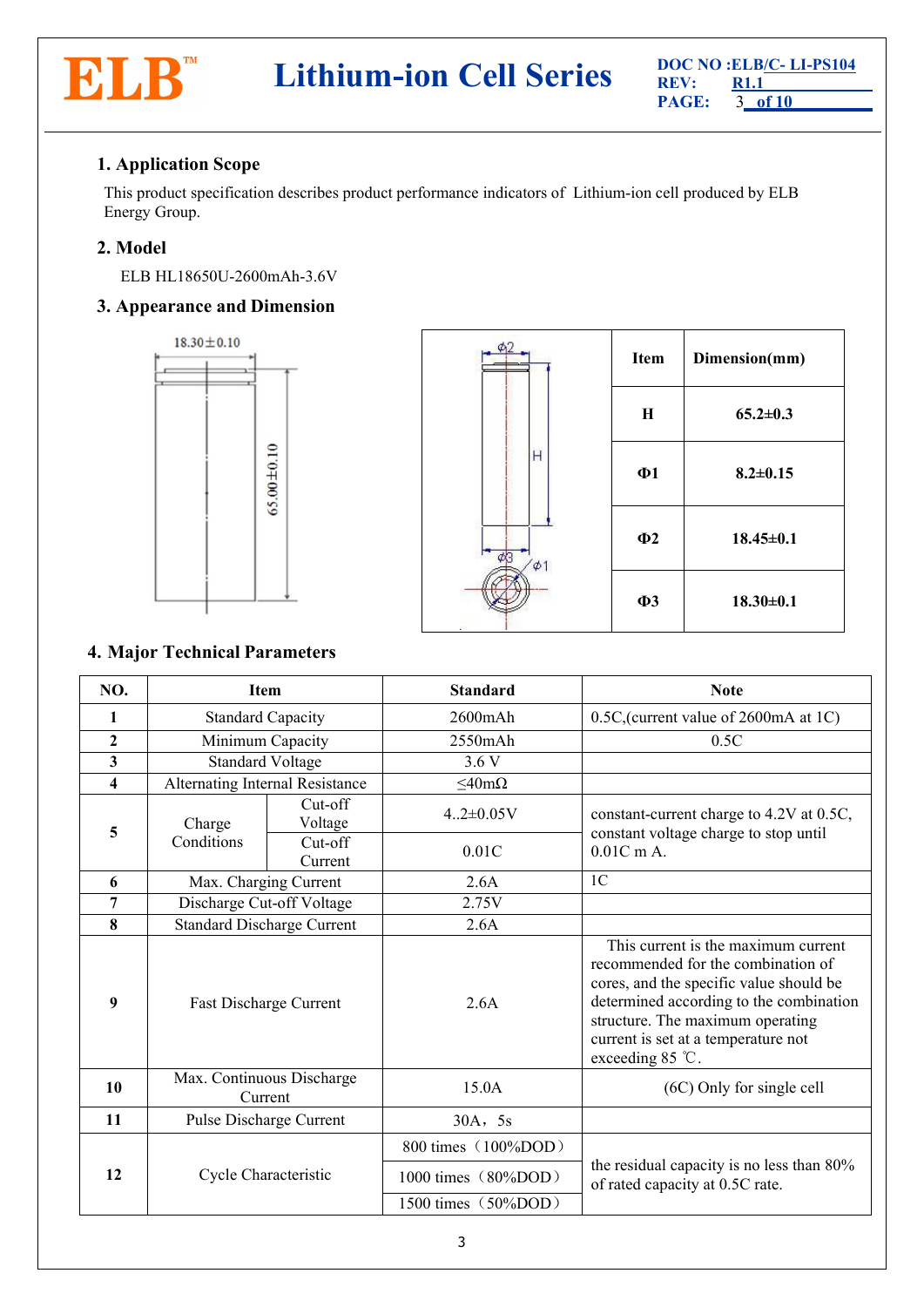

# <span id="page-2-0"></span>**1. Application Scope**

This product specification describes product performance indicators of Lithium-ion cell produced by ELB Energy Group.

# <span id="page-2-1"></span>**2. Model**

ELB HL18650U-2600mAh-3.6V

# <span id="page-2-2"></span>**3. Appearance and Dimension**



|          | Item     | Dimension(mm)   |
|----------|----------|-----------------|
|          | H        | $65.2 \pm 0.3$  |
| Н        | $\Phi$ 1 | $8.2 \pm 0.15$  |
| $\phi$ 1 | $\Phi$ 2 | $18.45 \pm 0.1$ |
|          | $\Phi$ 3 | $18.30 \pm 0.1$ |

# <span id="page-2-3"></span>**4. Major Technical Parameters**

| NO.                     | <b>Item</b>                          |                      | <b>Standard</b>     | <b>Note</b>                                                                                                                                                                                                                                                             |  |
|-------------------------|--------------------------------------|----------------------|---------------------|-------------------------------------------------------------------------------------------------------------------------------------------------------------------------------------------------------------------------------------------------------------------------|--|
| $\mathbf{1}$            | <b>Standard Capacity</b>             |                      | $2600 \text{mA}$ h  | 0.5C, (current value of 2600mA at 1C)                                                                                                                                                                                                                                   |  |
| $\mathbf{2}$            | Minimum Capacity                     |                      | $2550$ mAh          | 0.5C                                                                                                                                                                                                                                                                    |  |
| $\mathbf{3}$            | Standard Voltage                     |                      | 3.6V                |                                                                                                                                                                                                                                                                         |  |
| $\overline{\mathbf{4}}$ | Alternating Internal Resistance      |                      | $\leq$ 40m $\Omega$ |                                                                                                                                                                                                                                                                         |  |
| 5                       | Charge                               | $Cut-off$<br>Voltage | $4.2 \pm 0.05V$     | constant-current charge to 4.2V at 0.5C,<br>constant voltage charge to stop until                                                                                                                                                                                       |  |
|                         | Conditions                           | Cut-off<br>Current   | 0.01C               | $0.01C$ m A.                                                                                                                                                                                                                                                            |  |
| 6                       | Max. Charging Current                |                      | 2.6A                | 1 <sup>C</sup>                                                                                                                                                                                                                                                          |  |
| 7                       | Discharge Cut-off Voltage            |                      | 2.75V               |                                                                                                                                                                                                                                                                         |  |
| 8                       | <b>Standard Discharge Current</b>    |                      | 2.6A                |                                                                                                                                                                                                                                                                         |  |
| 9                       | Fast Discharge Current               |                      | 2.6A                | This current is the maximum current<br>recommended for the combination of<br>cores, and the specific value should be<br>determined according to the combination<br>structure. The maximum operating<br>current is set at a temperature not<br>exceeding $85^{\circ}$ C. |  |
| 10                      | Max. Continuous Discharge<br>Current |                      | 15.0A               | (6C) Only for single cell                                                                                                                                                                                                                                               |  |
| 11                      | Pulse Discharge Current              |                      | $30A$ , 5s          |                                                                                                                                                                                                                                                                         |  |
|                         |                                      |                      | 800 times (100%DOD) |                                                                                                                                                                                                                                                                         |  |
| 12                      | Cycle Characteristic                 |                      | 1000 times (80%DOD) | the residual capacity is no less than 80%<br>of rated capacity at 0.5C rate.                                                                                                                                                                                            |  |
|                         |                                      |                      | 1500 times (50%DOD) |                                                                                                                                                                                                                                                                         |  |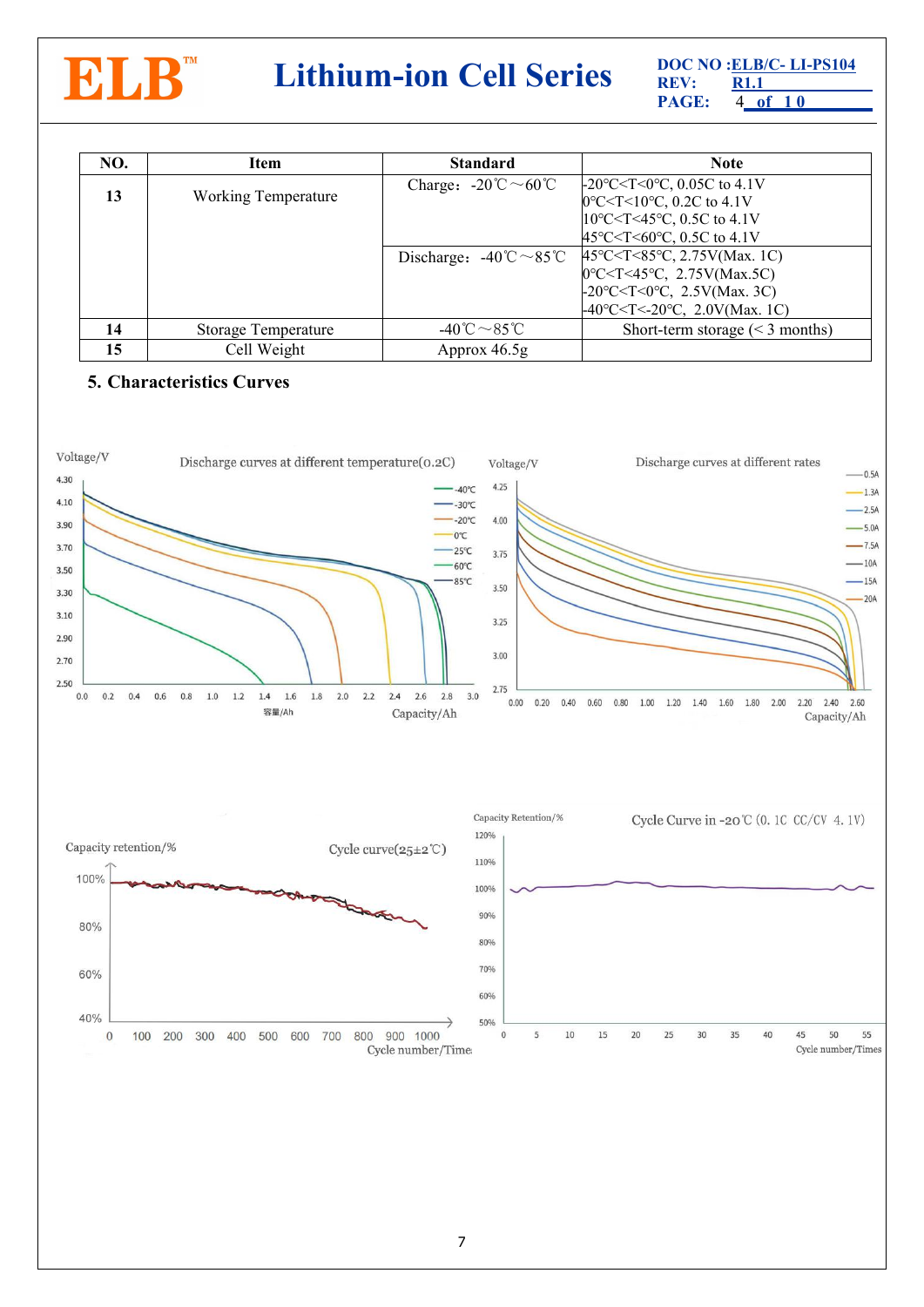

# **DOC NO CELB/C- LI-PS104 REV: REV: RL1.1 PAGE: A of** 10

**PAGE:** 4 **of 1 0 R1.1**

| NO.                              | Item                | <b>Standard</b>                                          | <b>Note</b>                                                                                                                                                                                                                                                                                                                                                            |
|----------------------------------|---------------------|----------------------------------------------------------|------------------------------------------------------------------------------------------------------------------------------------------------------------------------------------------------------------------------------------------------------------------------------------------------------------------------------------------------------------------------|
| 13<br><b>Working Temperature</b> |                     | Charge: $-20^{\circ}\text{C} \sim 60^{\circ}\text{C}$    | $-20^{\circ}$ C < T < 0 $^{\circ}$ C, 0.05C to 4.1V<br>$[0^{\circ}$ C <t 10<math="" <="">^{\circ}C, 0.2C to 4.1V<br/><math>10^{\circ}</math>C<t<45<math>^{\circ}C, 0.5C to 4.1V</t<45<math></t>                                                                                                                                                                        |
|                                  |                     | Discharge: $-40^{\circ}\text{C} \sim 85^{\circ}\text{C}$ | $ 45^{\circ}$ C <t<60<math>^{\circ}C, 0.5C to 4.1V<br/><math> 45^{\circ}</math>C &lt; T &lt; 85<math>^{\circ}</math>C, 2.75V(Max. 1C)<br/><math>[0^{\circ}C &lt; T &lt; 45^{\circ}C, 2.75V(Max.5C)]</math><br/><math>-20^{\circ}</math>C<t<0°c, 2.5v(max.="" 3c)<br=""><math>-40^{\circ}</math>C<t<-20<math>^{\circ}C, 2.0V(Max. 1C)</t<-20<math></t<0°c,></t<60<math> |
| 14                               | Storage Temperature | $-40^{\circ}\text{C} \sim 85^{\circ}\text{C}$            | Short-term storage $(< 3$ months)                                                                                                                                                                                                                                                                                                                                      |
| 15                               | Cell Weight         | Approx $46.5g$                                           |                                                                                                                                                                                                                                                                                                                                                                        |

## <span id="page-3-0"></span>**5. Characteristics Curves**

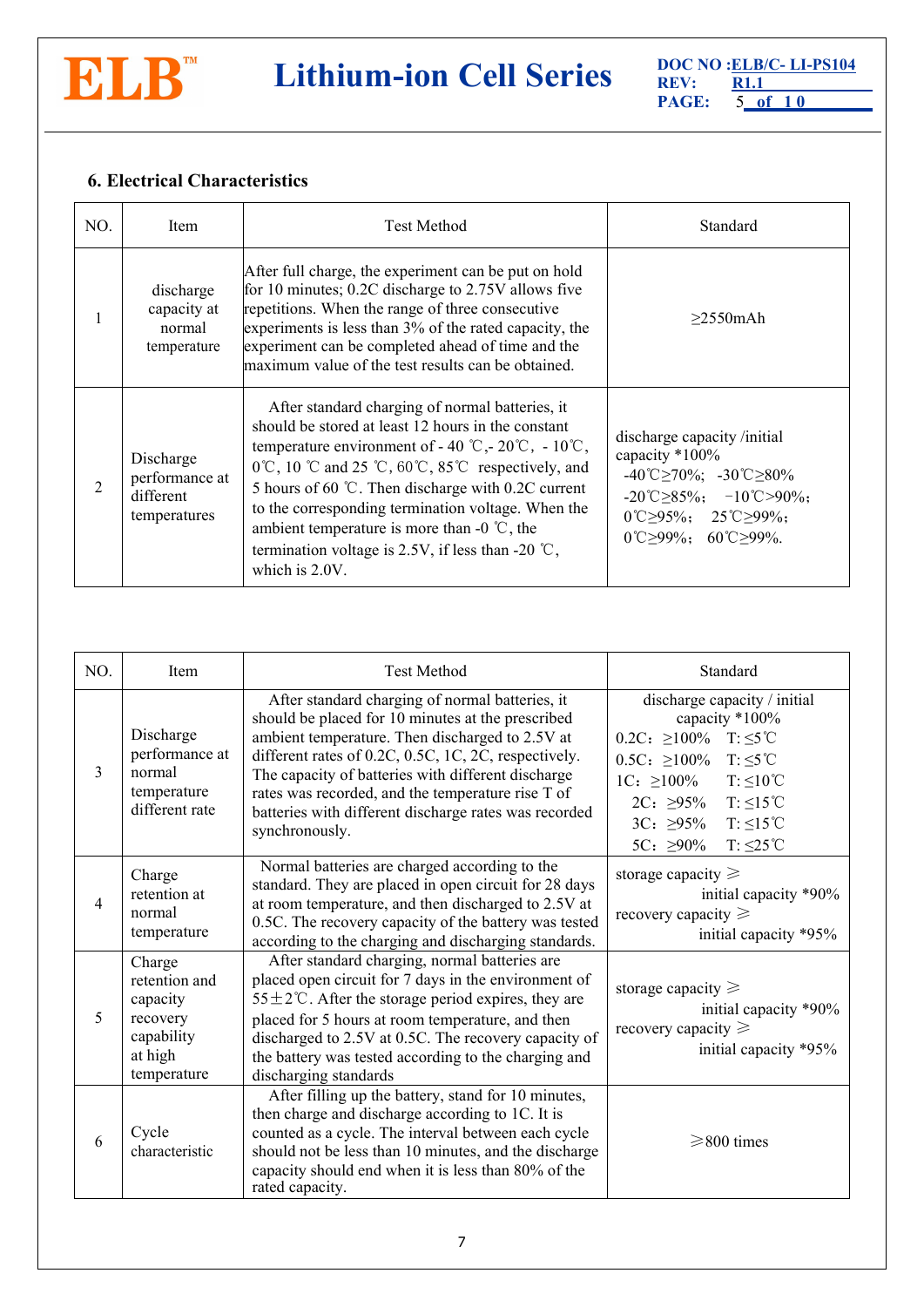

# **DOC NO CELB/C- LI-PS104 REV: REV: RI.1 RAGE: B CELB**/**C- LI-PS104 RAGE: B C**

**PAGE:** 5 **of 1 0 R1.1**

# <span id="page-4-0"></span>**6. Electrical Characteristics**

| NO. | Item                                                     | <b>Test Method</b>                                                                                                                                                                                                                                                                                                                                                                                                                                                                                                            | Standard                                                                                                                                                                                                                                                    |  |
|-----|----------------------------------------------------------|-------------------------------------------------------------------------------------------------------------------------------------------------------------------------------------------------------------------------------------------------------------------------------------------------------------------------------------------------------------------------------------------------------------------------------------------------------------------------------------------------------------------------------|-------------------------------------------------------------------------------------------------------------------------------------------------------------------------------------------------------------------------------------------------------------|--|
|     | discharge<br>capacity at<br>normal<br>temperature        | After full charge, the experiment can be put on hold<br>for 10 minutes; 0.2C discharge to 2.75V allows five<br>repetitions. When the range of three consecutive<br>experiments is less than 3% of the rated capacity, the<br>experiment can be completed ahead of time and the<br>maximum value of the test results can be obtained.                                                                                                                                                                                          | $>2550$ mAh                                                                                                                                                                                                                                                 |  |
|     | Discharge<br>performance at<br>different<br>temperatures | After standard charging of normal batteries, it<br>should be stored at least 12 hours in the constant<br>temperature environment of - 40 °C, - 20 °C, - 10 °C,<br>$0^{\circ}$ C, 10 $^{\circ}$ C and 25 $^{\circ}$ C, 60 $^{\circ}$ C, 85 $^{\circ}$ C respectively, and<br>5 hours of 60 °C. Then discharge with 0.2C current<br>to the corresponding termination voltage. When the<br>ambient temperature is more than -0 $^{\circ}$ C, the<br>termination voltage is 2.5V, if less than -20 $\degree$ C,<br>which is 2.0V. | discharge capacity /initial<br>capacity *100%<br>$-40^{\circ}$ C $\geq$ 70%; $-30^{\circ}$ C $\geq$ 80%<br>$-20^{\circ}$ C $\geq$ 85%; $-10^{\circ}$ C $\geq$ 90%;<br>$0^{\circ}$ C>95%; 25 <sup>°</sup> C>99%;<br>$0^{\circ}$ C > 99%; 60 $\circ$ C > 99%. |  |

<span id="page-4-1"></span>

| NO.           | Item                                                                                    | <b>Test Method</b>                                                                                                                                                                                                                                                                                                                                                                                    | Standard                                                                                                                                                                                                                                                                                                 |  |
|---------------|-----------------------------------------------------------------------------------------|-------------------------------------------------------------------------------------------------------------------------------------------------------------------------------------------------------------------------------------------------------------------------------------------------------------------------------------------------------------------------------------------------------|----------------------------------------------------------------------------------------------------------------------------------------------------------------------------------------------------------------------------------------------------------------------------------------------------------|--|
| $\mathcal{E}$ | Discharge<br>performance at<br>normal<br>temperature<br>different rate                  | After standard charging of normal batteries, it<br>should be placed for 10 minutes at the prescribed<br>ambient temperature. Then discharged to 2.5V at<br>different rates of 0.2C, 0.5C, 1C, 2C, respectively.<br>The capacity of batteries with different discharge<br>rates was recorded, and the temperature rise T of<br>batteries with different discharge rates was recorded<br>synchronously. | discharge capacity / initial<br>capacity *100%<br>$0.2C: \geq 100\%$ T: $\leq 5^{\circ}C$<br>$0.5C: \geq 100\%$<br>$T: \leq 5$ °C<br>$T: \leq 10^{\circ}C$<br>$1C: \geq 100\%$<br>$T: \leq 15^{\circ}C$<br>$2C: \geq 95\%$<br>$T: \leq 15^{\circ}C$<br>$3C: 295\%$<br>$T: \leq 25$ °C<br>5C: $\geq 90\%$ |  |
| 4             | Charge<br>retention at<br>normal<br>temperature                                         | Normal batteries are charged according to the<br>standard. They are placed in open circuit for 28 days<br>at room temperature, and then discharged to 2.5V at<br>0.5C. The recovery capacity of the battery was tested<br>according to the charging and discharging standards.                                                                                                                        | storage capacity $\geq$<br>initial capacity *90%<br>recovery capacity $\geq$<br>initial capacity *95%                                                                                                                                                                                                    |  |
| 5             | Charge<br>retention and<br>capacity<br>recovery<br>capability<br>at high<br>temperature | After standard charging, normal batteries are<br>placed open circuit for 7 days in the environment of<br>55 ± 2°C. After the storage period expires, they are<br>placed for 5 hours at room temperature, and then<br>discharged to 2.5V at 0.5C. The recovery capacity of<br>the battery was tested according to the charging and<br>discharging standards                                            | storage capacity $\geq$<br>initial capacity *90%<br>recovery capacity $\geq$<br>initial capacity *95%                                                                                                                                                                                                    |  |
| 6             | Cycle<br>characteristic                                                                 | After filling up the battery, stand for 10 minutes,<br>then charge and discharge according to 1C. It is<br>counted as a cycle. The interval between each cycle<br>should not be less than 10 minutes, and the discharge<br>capacity should end when it is less than 80% of the<br>rated capacity.                                                                                                     | $\geq$ 800 times                                                                                                                                                                                                                                                                                         |  |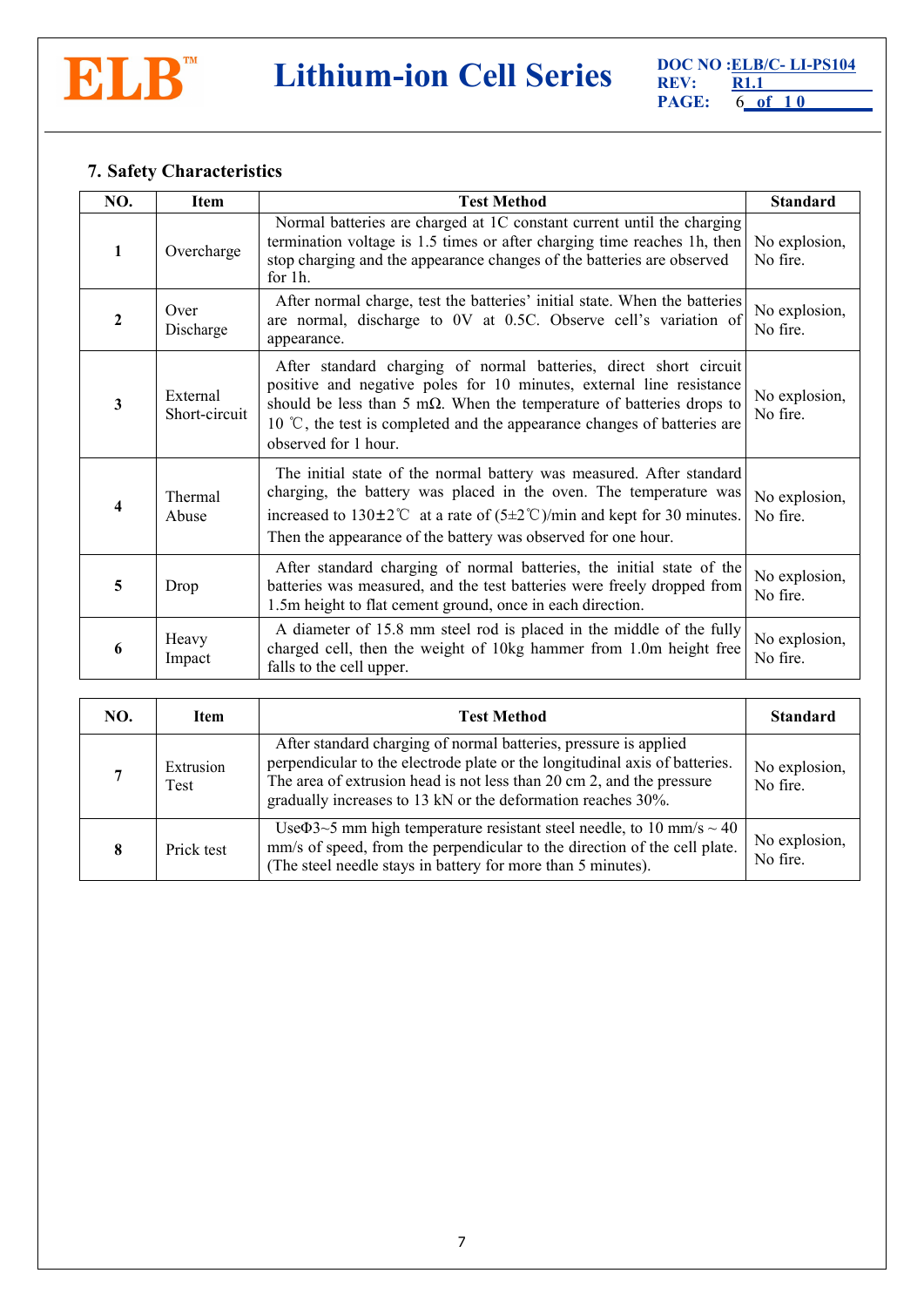

# **7. Safety Characteristics**

| NO.          | <b>Item</b>                                                                                                                                                                                                                        | <b>Test Method</b>                                                                                                                                                                                                                                                                                                                      | <b>Standard</b>           |
|--------------|------------------------------------------------------------------------------------------------------------------------------------------------------------------------------------------------------------------------------------|-----------------------------------------------------------------------------------------------------------------------------------------------------------------------------------------------------------------------------------------------------------------------------------------------------------------------------------------|---------------------------|
|              | Overcharge                                                                                                                                                                                                                         | Normal batteries are charged at 1C constant current until the charging<br>termination voltage is 1.5 times or after charging time reaches 1h, then<br>stop charging and the appearance changes of the batteries are observed<br>for 1h.                                                                                                 | No explosion,<br>No fire. |
| $\mathbf{2}$ | Over<br>Discharge                                                                                                                                                                                                                  | After normal charge, test the batteries' initial state. When the batteries<br>are normal, discharge to 0V at 0.5C. Observe cell's variation of<br>appearance.                                                                                                                                                                           | No explosion,<br>No fire. |
| 3            | External<br>Short-circuit                                                                                                                                                                                                          | After standard charging of normal batteries, direct short circuit<br>positive and negative poles for 10 minutes, external line resistance<br>should be less than 5 m $\Omega$ . When the temperature of batteries drops to<br>10 $\degree$ C, the test is completed and the appearance changes of batteries are<br>observed for 1 hour. | No explosion,<br>No fire. |
| 4            | Thermal<br>Abuse                                                                                                                                                                                                                   | The initial state of the normal battery was measured. After standard<br>charging, the battery was placed in the oven. The temperature was<br>increased to $130\pm2^{\circ}$ at a rate of $(5\pm2^{\circ}$ C)/min and kept for 30 minutes.<br>Then the appearance of the battery was observed for one hour.                              | No explosion,<br>No fire. |
| 5            | After standard charging of normal batteries, the initial state of the<br>batteries was measured, and the test batteries were freely dropped from<br>Drop<br>No fire.<br>1.5m height to flat cement ground, once in each direction. |                                                                                                                                                                                                                                                                                                                                         | No explosion,             |
| 6            | Heavy<br>Impact                                                                                                                                                                                                                    | A diameter of 15.8 mm steel rod is placed in the middle of the fully<br>charged cell, then the weight of 10kg hammer from 1.0m height free<br>falls to the cell upper.                                                                                                                                                                  | No explosion,<br>No fire. |

<span id="page-5-0"></span>

| NO. | <b>Test Method</b><br><b>Item</b> |                                                                                                                                                                                                                                                                                          | <b>Standard</b>           |
|-----|-----------------------------------|------------------------------------------------------------------------------------------------------------------------------------------------------------------------------------------------------------------------------------------------------------------------------------------|---------------------------|
|     | Extrusion<br>Test                 | After standard charging of normal batteries, pressure is applied<br>perpendicular to the electrode plate or the longitudinal axis of batteries.<br>The area of extrusion head is not less than 20 cm 2, and the pressure<br>gradually increases to 13 kN or the deformation reaches 30%. | No explosion,<br>No fire. |
|     | Prick test                        | Use $\Phi$ 3~5 mm high temperature resistant steel needle, to 10 mm/s ~ 40<br>mm/s of speed, from the perpendicular to the direction of the cell plate.<br>(The steel needle stays in battery for more than 5 minutes).                                                                  | No explosion,<br>No fire. |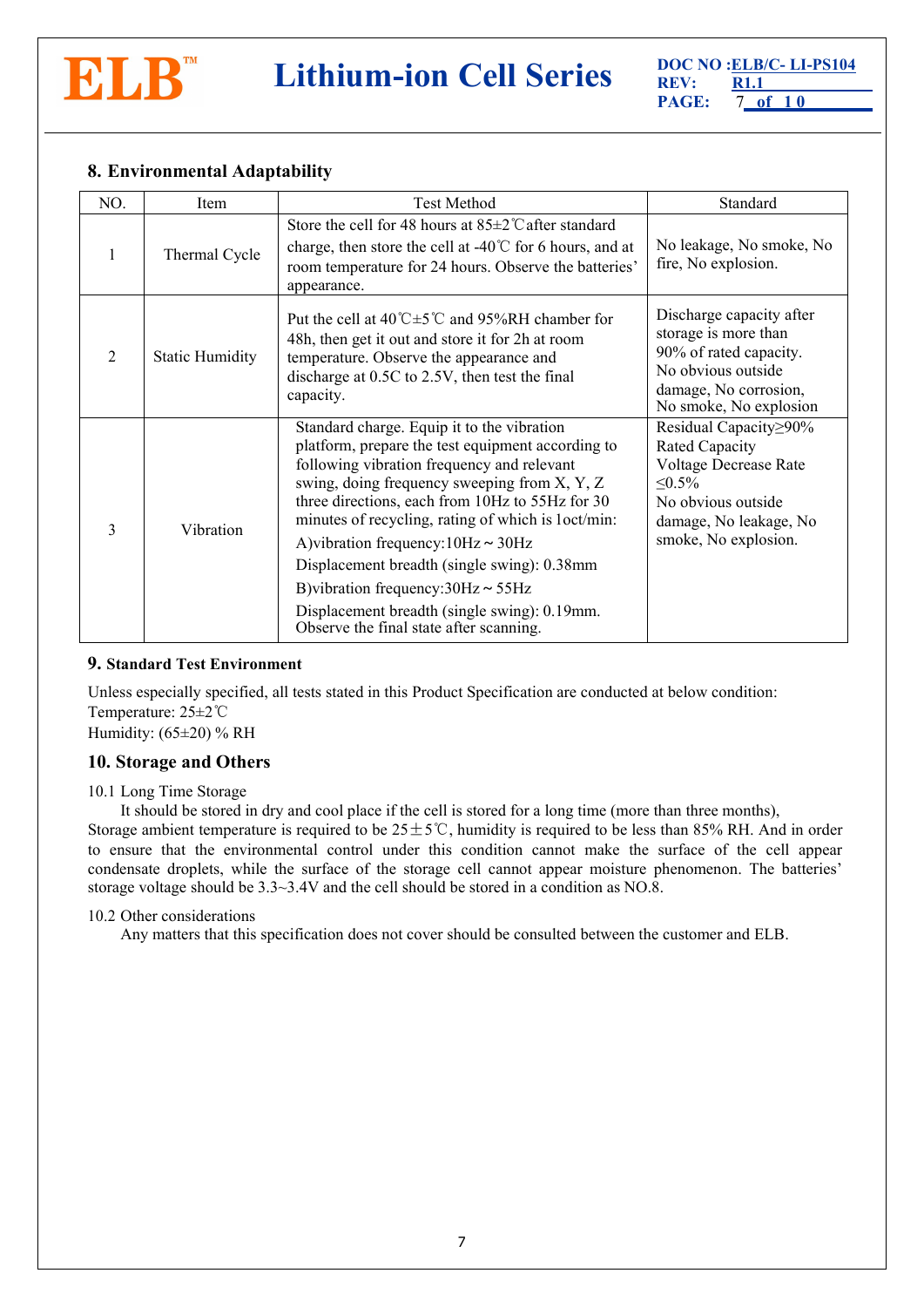

# **8. Environmental Adaptability**

| NO.            | Item                   | <b>Test Method</b>                                                                                                                                                                                                                                                                                                                                                                                                                                                                                                                       | Standard                                                                                                                                                 |
|----------------|------------------------|------------------------------------------------------------------------------------------------------------------------------------------------------------------------------------------------------------------------------------------------------------------------------------------------------------------------------------------------------------------------------------------------------------------------------------------------------------------------------------------------------------------------------------------|----------------------------------------------------------------------------------------------------------------------------------------------------------|
|                | Thermal Cycle          | Store the cell for 48 hours at $85\pm2$ °C after standard<br>charge, then store the cell at -40 $\degree$ C for 6 hours, and at<br>room temperature for 24 hours. Observe the batteries'<br>appearance.                                                                                                                                                                                                                                                                                                                                  | No leakage, No smoke, No<br>fire, No explosion.                                                                                                          |
| $\overline{2}$ | <b>Static Humidity</b> | Put the cell at $40^{\circ}$ C $\pm$ 5 <sup>°</sup> C and 95%RH chamber for<br>48h, then get it out and store it for 2h at room<br>temperature. Observe the appearance and<br>discharge at 0.5C to 2.5V, then test the final<br>capacity.                                                                                                                                                                                                                                                                                                | Discharge capacity after<br>storage is more than<br>90% of rated capacity.<br>No obvious outside<br>damage, No corrosion,<br>No smoke, No explosion      |
| 3              | Vibration              | Standard charge. Equip it to the vibration<br>platform, prepare the test equipment according to<br>following vibration frequency and relevant<br>swing, doing frequency sweeping from X, Y, Z<br>three directions, each from 10Hz to 55Hz for 30<br>minutes of recycling, rating of which is loct/min:<br>A) vibration frequency: $10Hz \sim 30Hz$<br>Displacement breadth (single swing): 0.38mm<br>B) vibration frequency: $30Hz \sim 55Hz$<br>Displacement breadth (single swing): 0.19mm.<br>Observe the final state after scanning. | Residual Capacity≥90%<br>Rated Capacity<br>Voltage Decrease Rate<br>$\leq 0.5\%$<br>No obvious outside<br>damage, No leakage, No<br>smoke, No explosion. |

#### <span id="page-6-0"></span>**9. Standard Test Environment**

Unless especially specified, all tests stated in this Product Specification are conducted at below condition: Temperature: 25±2℃ Humidity:  $(65\pm20)$  % RH

## <span id="page-6-1"></span>**10. Storage and Others**

#### 10.1 Long Time Storage

It should be stored in dry and cool place if the cell is stored for a long time (more than three months),

Storage ambient temperature is required to be  $25±5^{\circ}$ C, humidity is required to be less than 85% RH. And in order to ensure that the environmental control under this condition cannot make the surface of the cell appear condensate droplets, while the surface of the storage cell cannot appear moisture phenomenon. The batteries' storage voltage should be 3.3~3.4V and the cell should be stored in a condition as NO.8.

#### 10.2 Other considerations

Any matters that this specification doesnot cover should be consulted between the customer and ELB.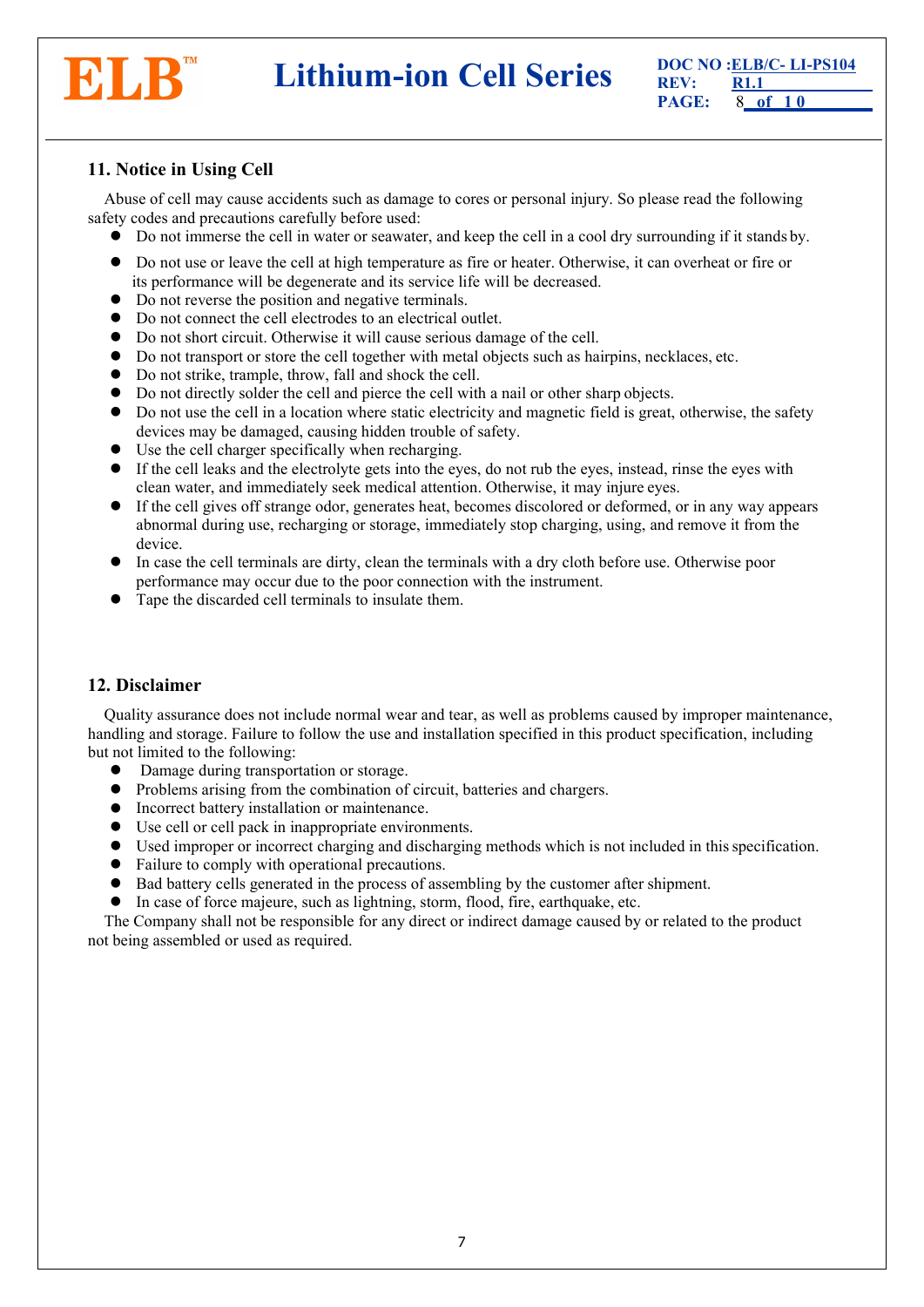

**DOC NO :ELB/C- LI-PS104 REV: REV: REV: REV: REV: R1.1 PAGE: 8** of 10

# <span id="page-7-0"></span>**11. Notice in Using Cell**

Abuse of cell may cause accidents such as damage to cores or personal injury. So please read the following safety codes and precautions carefully before used:

- Do not immerse the cell in water or seawater, and keep the cell in a cool dry surrounding if it stands by.
- <span id="page-7-2"></span>• Do not use or leave the cell at high temperature as fire or heater. Otherwise, it can overheat or fire or its performance will be degenerate and its service life will be decreased.
- Do not reverse the position and negative terminals.
- Do not connect the cell electrodes to an electrical outlet.
- Do not short circuit. Otherwise it will cause serious damage of the cell.
- Do not transport or store the cell together with metal objects such as hairpins, necklaces, etc.
- Do not strike, trample, throw, fall and shock the cell.
- Do not directly solder the cell and pierce the cellwith a nail or other sharp objects.
- Do not use the cell in a location where static electricity and magnetic field is great, otherwise, the safety devices may be damaged, causing hidden trouble of safety.
- $\bullet$  Use the cell charger specifically when recharging.
- If the cell leaks and the electrolyte gets into the eyes, do not rub the eyes, instead, rinse the eyes with clean water, and immediately seek medical attention. Otherwise, it may injure eyes.
- If the cell gives off strange odor, generates heat, becomes discolored or deformed, or in any way appears abnormal during use, recharging or storage, immediately stop charging, using, and remove it from the device.
- In case the cell terminals are dirty, clean the terminals with a dry cloth before use. Otherwise poor performance may occur due to the poor connection with the instrument.
- Tape the discarded cell terminals to insulate them.

## <span id="page-7-1"></span>**12. Disclaimer**

Quality assurance does not include normal wear and tear, as well as problems caused by improper maintenance, handling and storage. Failure to follow the use and installation specified in this product specification, including but not limited to the following:

- Damage during transportation or storage.
- Problems arising from the combination of circuit, batteries and chargers.
- Incorrect battery installation or maintenance.
- Use cell or cell pack in inappropriate environments.
- Used improper or incorrect charging and discharging methods which is not included in thisspecification.
- Failure to comply with operational precautions.
- $\bullet$  Bad battery cells generated in the process of assembling by the customer after shipment.
- $\bullet$  In case of force majeure, such as lightning, storm, flood, fire, earthquake, etc.

The Company shall not be responsible for any direct or indirect damage caused by or related to the product not being assembled or used as required.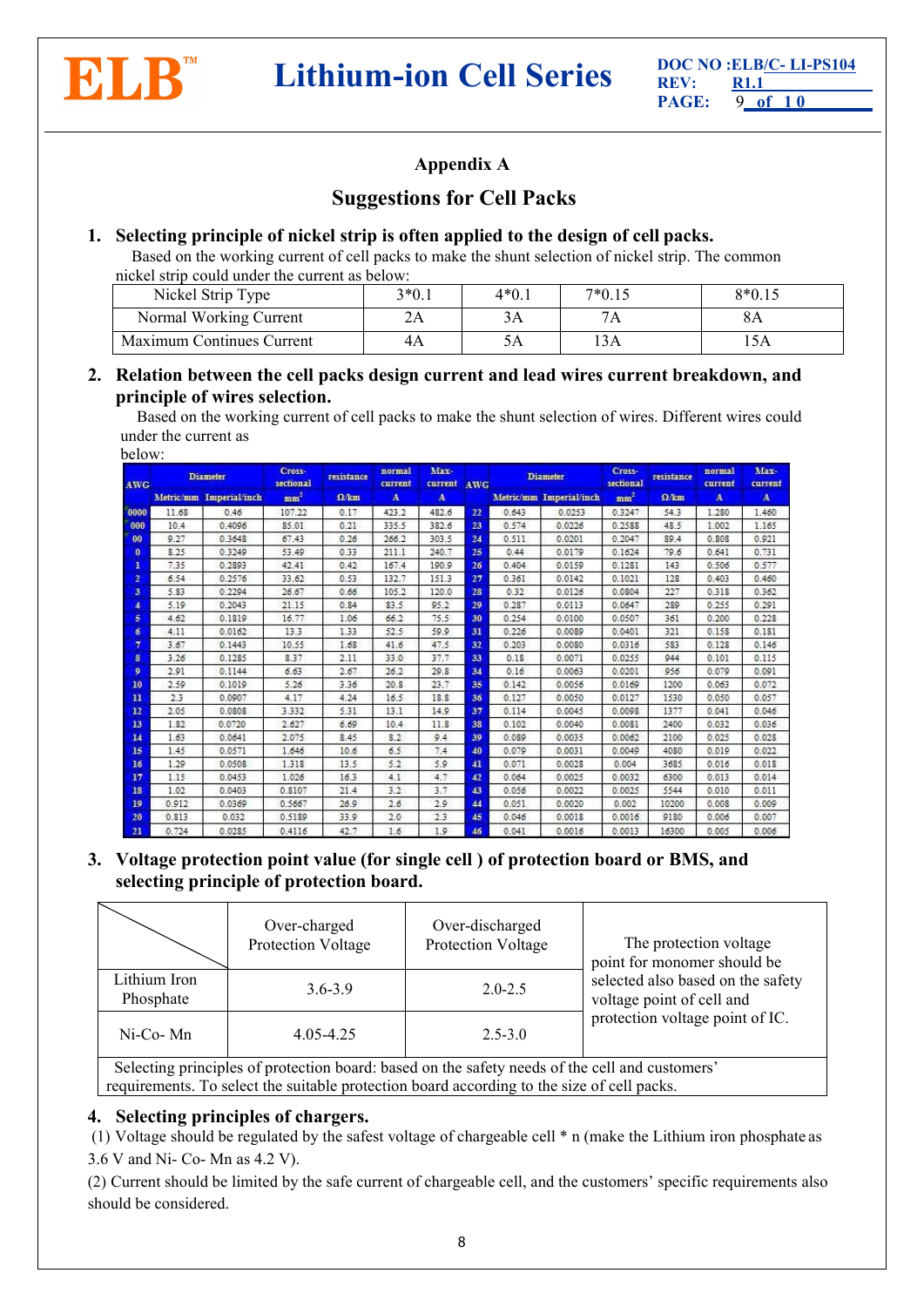

# **Appendix A**

# **Suggestions for Cell Packs**

## **1. Selecting principle of nickel strip is often applied tothe design of cell packs.**

Based on the working current of cell packs to make the shunt selection of nickel strip. The common nickel strip could under the current as below:

| Nickel Strip Type         | $3*0.1$         | $4*0.1$ | 7*0.15 | $8*0.15$ |
|---------------------------|-----------------|---------|--------|----------|
| Normal Working Current    | $\angle \Gamma$ | ЭA      | /A     | oΑ       |
| Maximum Continues Current |                 | ۰٬۱     | 1 3 A  |          |

## **2. Relation between the cell packs design current and lead wires current breakdown, and principle of wires selection.**

Based on the working current of cell packs to make the shunt selection of wires. Different wires could under the current as

| below: |  |
|--------|--|
|--------|--|

| <b>AWG</b>              | <b>Diameter</b> |                         | Cross-<br>sectional | resistance   | Max-<br>normal<br>current<br>current |              | <b>AWG</b> | <b>Diameter</b> |                         | Cross-<br>sectional | resistance   | normal<br>current | Max-<br>current |
|-------------------------|-----------------|-------------------------|---------------------|--------------|--------------------------------------|--------------|------------|-----------------|-------------------------|---------------------|--------------|-------------------|-----------------|
|                         |                 | Metric/mm Imperial/inch | mm <sup>2</sup>     | $\Omega$ /km | $\mathbf{A}$                         | $\mathbf{A}$ |            |                 | Metric/mm Imperial/inch | mm <sup>2</sup>     | $\Omega$ /km | A                 | $\mathbf{A}$    |
| 0000                    | 11.68           | 0.46                    | 107.22              | 0.17         | 423.2                                | 482.6        | 22         | 0.643           | 0.0253                  | 0.3247              | 54.3         | 1.280             | 1.460           |
| 000                     | 10.4            | 0.4096                  | 85.01               | 0.21         | 335.5                                | 382.6        | 23         | 0.574           | 0.0226                  | 0.2588              | 48.5         | 1.002             | 1.165           |
| 00                      | 9.27            | 0.3648                  | 67.43               | 0.26         | 266.2                                | 303.5        | 24         | 0.511           | 0.0201                  | 0.2047              | 89.4         | 0.808             | 0.921           |
| $\mathbf{0}$            | 8.25            | 0.3249                  | 53.49               | 0.33         | 211.1                                | 240.7        | 25         | 0.44            | 0.0179                  | 0.1624              | 79.6         | 0.641             | 0.731           |
| 1                       | 7.35            | 0.2893                  | 42.41               | 0.42         | 167.4                                | 190.9        | 26         | 0.404           | 0.0159                  | 0.1281              | 143          | 0.506             | 0.577           |
| $\overline{2}$          | 6.54            | 0.2576                  | 33.62               | 0.53         | 132.7                                | 151.3        | 27         | 0.361           | 0.0142                  | 0.1021              | 128          | 0.403             | 0.460           |
| $\overline{\mathbf{3}}$ | 5.83            | 0.2294                  | 26.67               | 0.66         | 105.2                                | 120.0        | 28         | 0.32            | 0.0126                  | 0.0804              | 227          | 0.318             | 0.362           |
| $\overline{4}$          | 5.19            | 0.2043                  | 21.15               | 0.84         | 83.5                                 | 95.2         | 29         | 0.287           | 0.0113                  | 0.0647              | 289          | 0.255             | 0.291           |
| 5                       | 4.62            | 0.1819                  | 16.77               | 1.06         | 66.2                                 | 75.5         | 30         | 0.254           | 0.0100                  | 0.0507              | 361          | 0.200             | 0.228           |
| б                       | 4.11            | 0.0162                  | 13.3                | 1.33         | 52.5                                 | 59.9         | 31         | 0.226           | 0.0089                  | 0.0401              | 321          | 0.158             | 0.181           |
| 7                       | 3.67            | 0.1443                  | 10.55               | 1.68         | 41.6                                 | 47.5         | 32         | 0.203           | 0.0080                  | 0.0316              | 583          | 0.128             | 0.146           |
| 8                       | 3.26            | 0.1285                  | 8.37                | 2.11         | 33.0                                 | 37.7         | 33         | 0.18            | 0.0071                  | 0.0255              | 944          | 0.101             | 0.115           |
| $\mathbf{Q}$            | 2.91            | 0.1144                  | 6.63                | 2.67         | 26.2                                 | 29.8         | 34         | 0.16            | 0.0063                  | 0.0201              | 956          | 0.079             | 0.091           |
| 10                      | 2.59            | 0.1019                  | 5.26                | 3.36         | 20.8                                 | 23.7         | 35         | 0.142           | 0.0056                  | 0.0169              | 1200         | 0.063             | 0.072           |
| $\mathbf{u}$            | 2.3             | 0.0907                  | 4.17                | 4.24         | 16.5                                 | 18.8         | 36         | 0.127           | 0.0050                  | 0.0127              | 1530         | 0.050             | 0.057           |
| 12                      | 2.05            | 0.0808                  | 3.332               | 5.31         | 13.1                                 | 14.9         | 37         | 0.114           | 0.0045                  | 0.0098              | 1377         | 0.041             | 0.046           |
| <b>13</b>               | 1.82            | 0.0720                  | 2.627               | 6.69         | 10.4                                 | 11.8         | 38         | 0.102           | 0.0040                  | 0.0081              | 2400         | 0.032             | 0.036           |
| 14                      | 1.63            | 0.0641                  | 2.075               | 8.45         | 8.2                                  | 9.4          | 39         | 0.089           | 0.0035                  | 0.0062              | 2100         | 0.025             | 0.028           |
| 15                      | 1.45            | 0.0571                  | 1.646               | 10.6         | 6.5                                  | 7.4          | 40         | 0.079           | 0.0031                  | 0.0049              | 4080         | 0.019             | 0.022           |
| <b>16</b>               | 1.29            | 0.0508                  | 1.318               | 13.5         | 5.2                                  | 5.9          | 41         | 0.071           | 0.0028                  | 0.004               | 3685         | 0.016             | 0.018           |
| 17                      | 1.15            | 0.0453                  | 1.026               | 16.3         | 4.1                                  | 4.7          | 42         | 0.064           | 0.0025                  | 0.0032              | 6300         | 0.013             | 0.014           |
| 18                      | 1.02            | 0.0403                  | 0.8107              | 21.4         | 3.2                                  | 3.7          | 43         | 0.056           | 0.0022                  | 0.0025              | 5544         | 0.010             | 0.011           |
| 19                      | 0.912           | 0.0369                  | 0.5667              | 26.9         | 2.6                                  | 2.9          | 44         | 0.051           | 0.0020                  | 0.002               | 10200        | 0.008             | 0.009           |
| 20                      | 0.813           | 0.032                   | 0.5189              | 33.9         | 2.0                                  | 2.3          | 45         | 0.046           | 0.0018                  | 0.0016              | 9180         | 0.006             | 0.007           |
| 21                      | 0.724           | 0.0285                  | 0.4116              | 42.7         | 1.6                                  | 1.9          | 46         | 0.041           | 0.0016                  | 0.0013              | 16300        | 0.005             | 0.006           |

**3. Voltage protection point value (for single cell ) of protection board or BMS, and selecting principle of protection board.**

|                                                                                                | Over-charged<br>Protection Voltage | Over-discharged<br>Protection Voltage | The protection voltage<br>point for monomer should be          |  |  |  |  |
|------------------------------------------------------------------------------------------------|------------------------------------|---------------------------------------|----------------------------------------------------------------|--|--|--|--|
| Lithium Iron<br>Phosphate                                                                      | $3.6 - 3.9$                        | $2.0 - 2.5$                           | selected also based on the safety<br>voltage point of cell and |  |  |  |  |
| $Ni$ -Co-Mn                                                                                    | $4.05 - 4.25$                      | $2.5 - 3.0$                           | protection voltage point of IC.                                |  |  |  |  |
| Selecting principles of protection board: based on the safety needs of the cell and customers' |                                    |                                       |                                                                |  |  |  |  |

Selecting principles of produced by requirements. To select the suitable protection board according to the size of cell packs.

## **4. Selecting** principles of chargers.

(1) Voltage should be regulated by the safest voltage of chargeable cell \* n (make the Lithium iron phosphate as 3.6 V and Ni- Co- Mn as 4.2 V).

(2) Current should be limited by the safe current of chargeable cell, and the customers' specific requirements also should be considered.